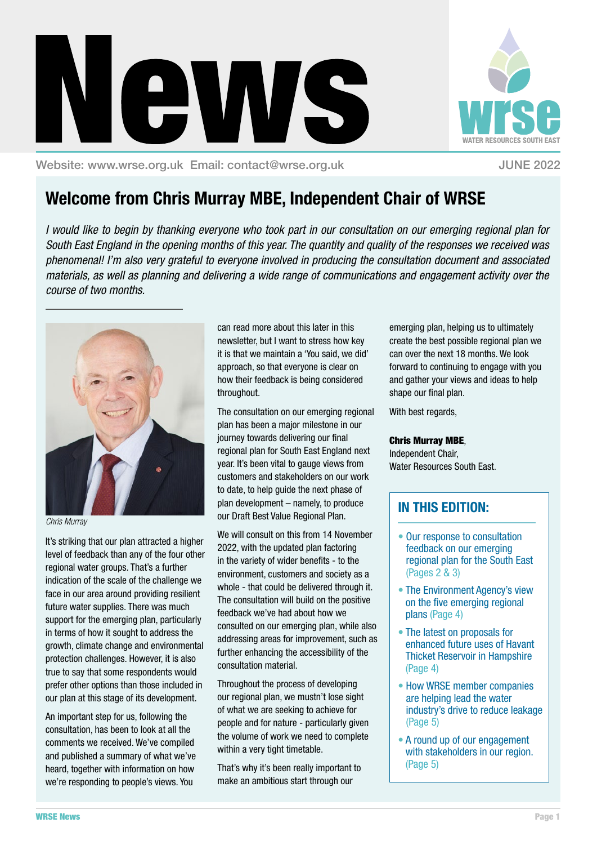Throughout the process of developing our regional plan, we mustn't lose sight of what we are seeking to achieve for people and for nature - particularly given the volume of work we need to complete within a very tight timetable.

consultation material.

That's why it's been really important to make an ambitious start through our

emerging plan, helping us to ultimately create the best possible regional plan we can over the next 18 months. We look forward to continuing to engage with you and gather your views and ideas to help

With best regards,

shape our final plan.

### Chris Murray MBE,

Independent Chair, Water Resources South East.

### **IN THIS EDITION:**

- Our response to consultation feedback on our emerging regional plan for the South East (Pages 2 & 3)
- The Environment Agency's view on the five emerging regional plans (Page 4)
- The latest on proposals for enhanced future uses of Havant Thicket Reservoir in Hampshire (Page 4)
- How WRSE member companies are helping lead the water industry's drive to reduce leakage (Page 5)
- A round up of our engagement with stakeholders in our region. (Page 5)

# **Welcome from Chris Murray MBE, Independent Chair of WRSE**

ews

throughout.

*I would like to begin by thanking everyone who took part in our consultation on our emerging regional plan for South East England in the opening months of this year. The quantity and quality of the responses we received was phenomenal! I'm also very grateful to everyone involved in producing the consultation document and associated materials, as well as planning and delivering a wide range of communications and engagement activity over the course of two months.* 

> can read more about this later in this newsletter, but I want to stress how key it is that we maintain a 'You said, we did' approach, so that everyone is clear on how their feedback is being considered

The consultation on our emerging regional plan has been a major milestone in our journey towards delivering our final regional plan for South East England next year. It's been vital to gauge views from customers and stakeholders on our work to date, to help guide the next phase of plan development – namely, to produce our Draft Best Value Regional Plan.

We will consult on this from 14 November 2022, with the updated plan factoring in the variety of wider benefits - to the environment, customers and society as a whole - that could be delivered through it. The consultation will build on the positive feedback we've had about how we

consulted on our emerging plan, while also addressing areas for improvement, such as further enhancing the accessibility of the



It's striking that our plan attracted a higher level of feedback than any of the four other regional water groups. That's a further indication of the scale of the challenge we face in our area around providing resilient future water supplies. There was much support for the emerging plan, particularly in terms of how it sought to address the growth, climate change and environmental protection challenges. However, it is also true to say that some respondents would prefer other options than those included in our plan at this stage of its development.

An important step for us, following the consultation, has been to look at all the comments we received. We've compiled and published a summary of what we've heard, together with information on how we're responding to people's views. You



Website: www.wrse.org.uk Email: contact@wrse.org.uk JUNE 2022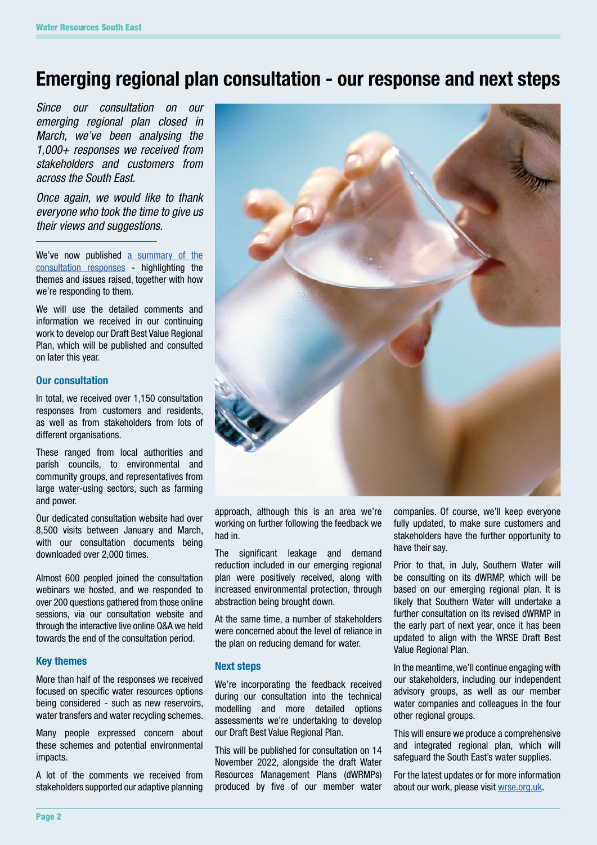# **Emerging regional plan consultation - our response and next steps**

*Since our consultation on our emerging regional plan closed in March, we've been analysing the 1,000+ responses we received from stakeholders and customers from across the South East.* 

*Once again, we would like to thank everyone who took the time to give us their views and suggestions.* 

We've now published [a summary of the](https://wrse.uk.engagementhq.com/13817/widgets/39759/documents/27148) [consultation responses](https://wrse.uk.engagementhq.com/13817/widgets/39759/documents/27148) - highlighting the themes and issues raised, together with how we're responding to them.

We will use the detailed comments and information we received in our continuing work to develop our Draft Best Value Regional Plan, which will be published and consulted on later this year.

### **Our consultation**

In total, we received over 1,150 consultation responses from customers and residents, as well as from stakeholders from lots of different organisations.

These ranged from local authorities and parish councils, to environmental and community groups, and representatives from large water-using sectors, such as farming and power.

Our dedicated consultation website had over 8,500 visits between January and March, with our consultation documents being downloaded over 2,000 times.

Almost 600 peopled joined the consultation webinars we hosted, and we responded to over 200 questions gathered from those online sessions, via our consultation website and through the interactive live online Q&A we held towards the end of the consultation period.

#### **Key themes**

More than half of the responses we received focused on specific water resources options being considered - such as new reservoirs, water transfers and water recycling schemes.

Many people expressed concern about these schemes and potential environmental impacts.

A lot of the comments we received from stakeholders supported our adaptive planning



approach, although this is an area we're working on further following the feedback we had in.

The significant leakage and demand reduction included in our emerging regional plan were positively received, along with increased environmental protection, through abstraction being brought down.

At the same time, a number of stakeholders were concerned about the level of reliance in the plan on reducing demand for water.

#### **Next steps**

We're incorporating the feedback received during our consultation into the technical modelling and more detailed options assessments we're undertaking to develop our Draft Best Value Regional Plan.

This will be published for consultation on 14 November 2022, alongside the draft Water Resources Management Plans (dWRMPs) produced by five of our member water companies. Of course, we'll keep everyone fully updated, to make sure customers and stakeholders have the further opportunity to have their say.

Prior to that, in July, Southern Water will be consulting on its dWRMP, which will be based on our emerging regional plan. It is likely that Southern Water will undertake a further consultation on its revised dWRMP in the early part of next year, once it has been updated to align with the WRSE Draft Best Value Regional Plan.

In the meantime, we'll continue engaging with our stakeholders, including our independent advisory groups, as well as our member water companies and colleagues in the four other regional groups.

This will ensure we produce a comprehensive and integrated regional plan, which will safeguard the South East's water supplies.

For the latest updates or for more information about our work, please visit [wrse.org.uk.](https://www.wrse.org.uk)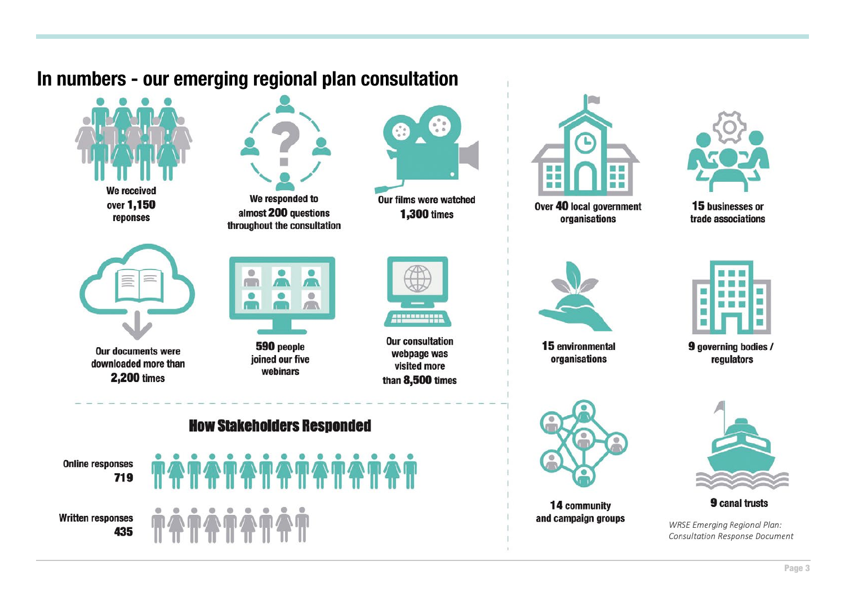# In numbers - our emerging regional plan consultation





Over 40 local government organisations



15 businesses or trade associations



15 environmental organisations



14 community and campaign groups



9 governing bodies / regulators



**9** canal trusts

**WRSE Emerging Regional Plan: Consultation Response Document**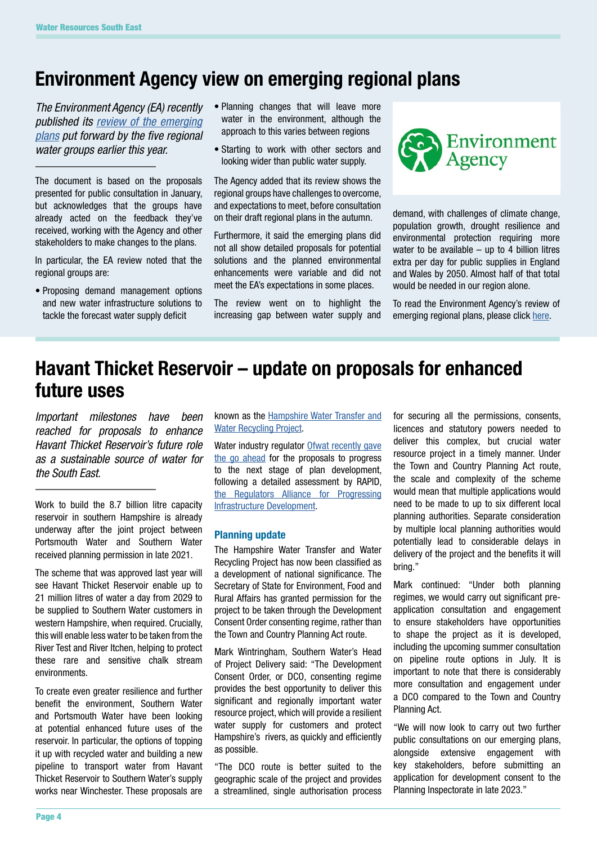# **Environment Agency view on emerging regional plans**

*The Environment Agency (EA) recently published its [review of the emerging](https://www.gov.uk/government/publications/review-of-englands-emerging-regional-water-resources-plans/review-of-englands-emerging-regional-water-resources-plans)  [plans](https://www.gov.uk/government/publications/review-of-englands-emerging-regional-water-resources-plans/review-of-englands-emerging-regional-water-resources-plans) put forward by the five regional water groups earlier this year.* 

The document is based on the proposals presented for public consultation in January, but acknowledges that the groups have already acted on the feedback they've received, working with the Agency and other stakeholders to make changes to the plans.

In particular, the EA review noted that the regional groups are:

• Proposing demand management options and new water infrastructure solutions to tackle the forecast water supply deficit

- Planning changes that will leave more water in the environment, although the approach to this varies between regions
- Starting to work with other sectors and looking wider than public water supply.

The Agency added that its review shows the regional groups have challenges to overcome, and expectations to meet, before consultation on their draft regional plans in the autumn.

Furthermore, it said the emerging plans did not all show detailed proposals for potential solutions and the planned environmental enhancements were variable and did not meet the EA's expectations in some places.

The review went on to highlight the increasing gap between water supply and



demand, with challenges of climate change, population growth, drought resilience and environmental protection requiring more water to be available  $-$  up to 4 billion litres extra per day for public supplies in England and Wales by 2050. Almost half of that total would be needed in our region alone.

To read the Environment Agency's review of emerging regional plans, please click [here.](https://www.gov.uk/government/publications/review-of-englands-emerging-regional-water-resources-plans/review-of-englands-emerging-regional-water-resources-plans)

## **Havant Thicket Reservoir – update on proposals for enhanced future uses**

*Important milestones have been reached for proposals to enhance Havant Thicket Reservoir's future role as a sustainable source of water for the South East.*

Work to build the 8.7 billion litre capacity reservoir in southern Hampshire is already underway after the joint project between Portsmouth Water and Southern Water received planning permission in late 2021.

The scheme that was approved last year will see Havant Thicket Reservoir enable up to 21 million litres of water a day from 2029 to be supplied to Southern Water customers in western Hampshire, when required. Crucially, this will enable less water to be taken from the River Test and River Itchen, helping to protect these rare and sensitive chalk stream environments.

To create even greater resilience and further benefit the environment, Southern Water and Portsmouth Water have been looking at potential enhanced future uses of the reservoir. In particular, the options of topping it up with recycled water and building a new pipeline to transport water from Havant Thicket Reservoir to Southern Water's supply works near Winchester. These proposals are known as the [Hampshire Water Transfer and](https://www.southernwater.co.uk/our-story/water-for-life-hampshire) [Water Recycling Project.](https://www.southernwater.co.uk/our-story/water-for-life-hampshire)

Water industry regulator Ofwat recently gave [the go ahead](https://www.ofwat.gov.uk/pn-19-22-green-water-resource-solutions-gain-ofwat-approval-to-continue-development/) for the proposals to progress to the next stage of plan development, following a detailed assessment by RAPID, [the Regulators Alliance for Progressing](https://www.ofwat.gov.uk/regulated-companies/rapid/)  [Infrastructure Development.](https://www.ofwat.gov.uk/regulated-companies/rapid/)

#### **Planning update**

The Hampshire Water Transfer and Water Recycling Project has now been classified as a development of national significance. The Secretary of State for Environment, Food and Rural Affairs has granted permission for the project to be taken through the Development Consent Order consenting regime, rather than the Town and Country Planning Act route.

Mark Wintringham, Southern Water's Head of Project Delivery said: "The Development Consent Order, or DCO, consenting regime provides the best opportunity to deliver this significant and regionally important water resource project, which will provide a resilient water supply for customers and protect Hampshire's rivers, as quickly and efficiently as possible.

"The DCO route is better suited to the geographic scale of the project and provides a streamlined, single authorisation process

for securing all the permissions, consents, licences and statutory powers needed to deliver this complex, but crucial water resource project in a timely manner. Under the Town and Country Planning Act route, the scale and complexity of the scheme would mean that multiple applications would need to be made to up to six different local planning authorities. Separate consideration by multiple local planning authorities would potentially lead to considerable delays in delivery of the project and the benefits it will bring."

Mark continued: "Under both planning regimes, we would carry out significant preapplication consultation and engagement to ensure stakeholders have opportunities to shape the project as it is developed, including the upcoming summer consultation on pipeline route options in July. It is important to note that there is considerably more consultation and engagement under a DCO compared to the Town and Country Planning Act.

"We will now look to carry out two further public consultations on our emerging plans, alongside extensive engagement with key stakeholders, before submitting an application for development consent to the Planning Inspectorate in late 2023."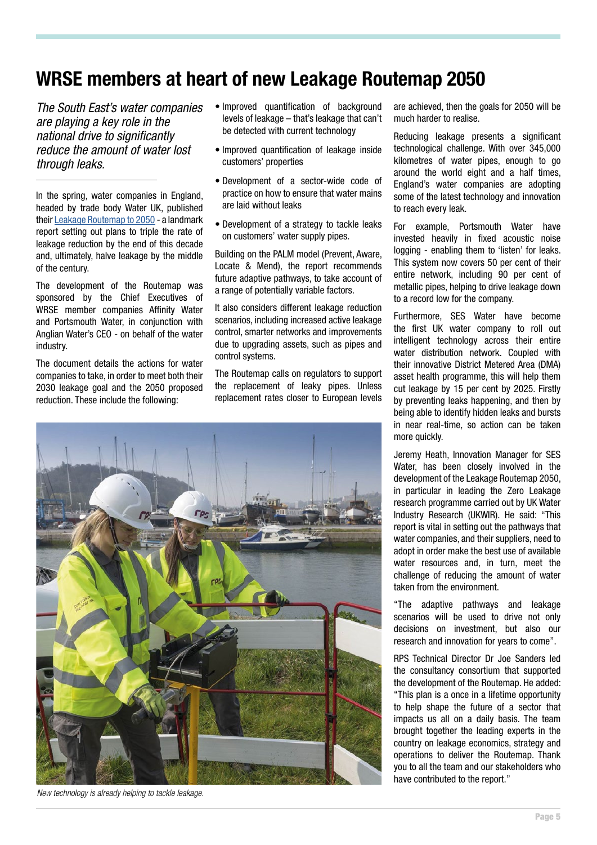# **WRSE members at heart of new Leakage Routemap 2050**

*The South East's water companies are playing a key role in the national drive to significantly reduce the amount of water lost through leaks.*

In the spring, water companies in England, headed by trade body Water UK, published their [Leakage Routemap to 2050](https://www.water.org.uk/news-item/milestone-leakage-routemap-to-revolutionise-the-reduction-of-leakage-from-pipes/#:~:text=The%20ambitious%20Leakage%20Routemap%202050,by%20the%20National%20Infrastructure%20Committee.) - a landmark report setting out plans to triple the rate of leakage reduction by the end of this decade and, ultimately, halve leakage by the middle of the century.

The development of the Routemap was sponsored by the Chief Executives of WRSE member companies Affinity Water and Portsmouth Water, in conjunction with Anglian Water's CEO - on behalf of the water industry.

The document details the actions for water companies to take, in order to meet both their 2030 leakage goal and the 2050 proposed reduction. These include the following:

- Improved quantification of background levels of leakage – that's leakage that can't be detected with current technology
- Improved quantification of leakage inside customers' properties
- Development of a sector-wide code of practice on how to ensure that water mains are laid without leaks
- Development of a strategy to tackle leaks on customers' water supply pipes.

Building on the PALM model (Prevent, Aware, Locate & Mend), the report recommends future adaptive pathways, to take account of a range of potentially variable factors.

It also considers different leakage reduction scenarios, including increased active leakage control, smarter networks and improvements due to upgrading assets, such as pipes and control systems.

The Routemap calls on regulators to support the replacement of leaky pipes. Unless replacement rates closer to European levels



*New technology is already helping to tackle leakage.*

are achieved, then the goals for 2050 will be much harder to realise.

Reducing leakage presents a significant technological challenge. With over 345,000 kilometres of water pipes, enough to go around the world eight and a half times, England's water companies are adopting some of the latest technology and innovation to reach every leak.

For example, Portsmouth Water have invested heavily in fixed acoustic noise logging - enabling them to 'listen' for leaks. This system now covers 50 per cent of their entire network, including 90 per cent of metallic pipes, helping to drive leakage down to a record low for the company.

Furthermore, SES Water have become the first UK water company to roll out intelligent technology across their entire water distribution network. Coupled with their innovative District Metered Area (DMA) asset health programme, this will help them cut leakage by 15 per cent by 2025. Firstly by preventing leaks happening, and then by being able to identify hidden leaks and bursts in near real-time, so action can be taken more quickly.

Jeremy Heath, Innovation Manager for SES Water, has been closely involved in the development of the Leakage Routemap 2050, in particular in leading the Zero Leakage research programme carried out by UK Water Industry Research (UKWIR). He said: "This report is vital in setting out the pathways that water companies, and their suppliers, need to adopt in order make the best use of available water resources and, in turn, meet the challenge of reducing the amount of water taken from the environment.

"The adaptive pathways and leakage scenarios will be used to drive not only decisions on investment, but also our research and innovation for years to come".

RPS Technical Director Dr Joe Sanders led the consultancy consortium that supported the development of the Routemap. He added: "This plan is a once in a lifetime opportunity to help shape the future of a sector that impacts us all on a daily basis. The team brought together the leading experts in the country on leakage economics, strategy and operations to deliver the Routemap. Thank you to all the team and our stakeholders who have contributed to the report."